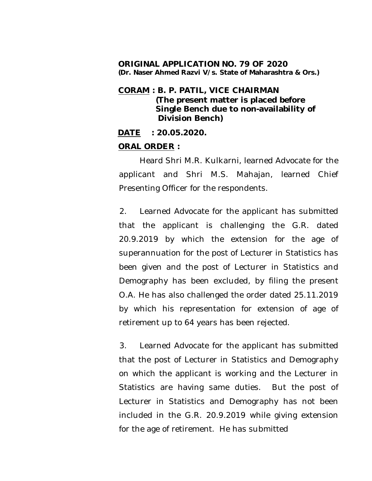### **ORIGINAL APPLICATION NO. 79 OF 2020 (Dr. Naser Ahmed Razvi V/s. State of Maharashtra & Ors.)**

## **CORAM : B. P. PATIL, VICE CHAIRMAN (The present matter is placed before Single Bench due to non-availability of Division Bench)**

**DATE : 20.05.2020.**

# **ORAL ORDER :**

Heard Shri M.R. Kulkarni, learned Advocate for the applicant and Shri M.S. Mahajan, learned Chief Presenting Officer for the respondents.

2. Learned Advocate for the applicant has submitted that the applicant is challenging the G.R. dated 20.9.2019 by which the extension for the age of superannuation for the post of Lecturer in Statistics has been given and the post of Lecturer in Statistics and Demography has been excluded, by filing the present O.A. He has also challenged the order dated 25.11.2019 by which his representation for extension of age of retirement up to 64 years has been rejected.

3. Learned Advocate for the applicant has submitted that the post of Lecturer in Statistics and Demography on which the applicant is working and the Lecturer in Statistics are having same duties. But the post of Lecturer in Statistics and Demography has not been included in the G.R. 20.9.2019 while giving extension for the age of retirement. He has submitted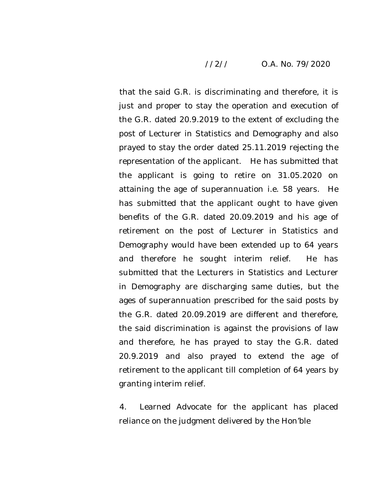## //2// O.A. No. 79/2020

that the said G.R. is discriminating and therefore, it is just and proper to stay the operation and execution of the G.R. dated 20.9.2019 to the extent of excluding the post of Lecturer in Statistics and Demography and also prayed to stay the order dated 25.11.2019 rejecting the representation of the applicant. He has submitted that the applicant is going to retire on 31.05.2020 on attaining the age of superannuation i.e. 58 years. He has submitted that the applicant ought to have given benefits of the G.R. dated 20.09.2019 and his age of retirement on the post of Lecturer in Statistics and Demography would have been extended up to 64 years and therefore he sought interim relief. He has submitted that the Lecturers in Statistics and Lecturer in Demography are discharging same duties, but the ages of superannuation prescribed for the said posts by the G.R. dated 20.09.2019 are different and therefore, the said discrimination is against the provisions of law and therefore, he has prayed to stay the G.R. dated 20.9.2019 and also prayed to extend the age of retirement to the applicant till completion of 64 years by granting interim relief.

4. Learned Advocate for the applicant has placed reliance on the judgment delivered by the Hon'ble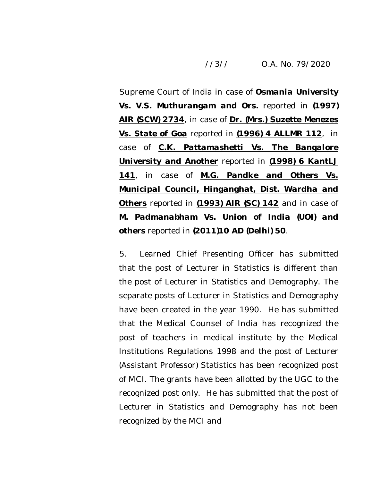## //3// O.A. No. 79/2020

Supreme Court of India in case of *Osmania University Vs. V.S. Muthurangam and Ors.* reported in *(1997) AIR (SCW) 2734*, in case of *Dr. (Mrs.) Suzette Menezes Vs. State of Goa* reported in *(1996) 4 ALLMR 112*, in case of *C.K. Pattamashetti Vs. The Bangalore University and Another* reported in *(1998) 6 KantLJ 141*, in case of *M.G. Pandke and Others Vs. Municipal Council, Hinganghat, Dist. Wardha and Others* reported in *(1993) AIR (SC) 142* and in case of *M. Padmanabham Vs. Union of India (UOI) and others* reported in *(2011)10 AD (Delhi) 50*.

5. Learned Chief Presenting Officer has submitted that the post of Lecturer in Statistics is different than the post of Lecturer in Statistics and Demography. The separate posts of Lecturer in Statistics and Demography have been created in the year 1990. He has submitted that the Medical Counsel of India has recognized the post of teachers in medical institute by the Medical Institutions Regulations 1998 and the post of Lecturer (Assistant Professor) Statistics has been recognized post of MCI. The grants have been allotted by the UGC to the recognized post only. He has submitted that the post of Lecturer in Statistics and Demography has not been recognized by the MCI and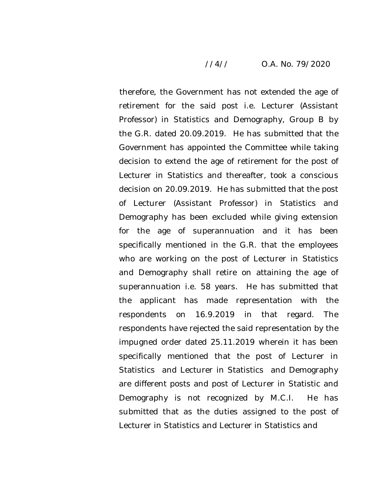### //4// O.A. No. 79/2020

therefore, the Government has not extended the age of retirement for the said post i.e. Lecturer (Assistant Professor) in Statistics and Demography, Group B by the G.R. dated 20.09.2019. He has submitted that the Government has appointed the Committee while taking decision to extend the age of retirement for the post of Lecturer in Statistics and thereafter, took a conscious decision on 20.09.2019. He has submitted that the post of Lecturer (Assistant Professor) in Statistics and Demography has been excluded while giving extension for the age of superannuation and it has been specifically mentioned in the G.R. that the employees who are working on the post of Lecturer in Statistics and Demography shall retire on attaining the age of superannuation i.e. 58 years. He has submitted that the applicant has made representation with the respondents on 16.9.2019 in that regard. The respondents have rejected the said representation by the impugned order dated 25.11.2019 wherein it has been specifically mentioned that the post of Lecturer in Statistics and Lecturer in Statistics and Demography are different posts and post of Lecturer in Statistic and Demography is not recognized by M.C.I. He has submitted that as the duties assigned to the post of Lecturer in Statistics and Lecturer in Statistics and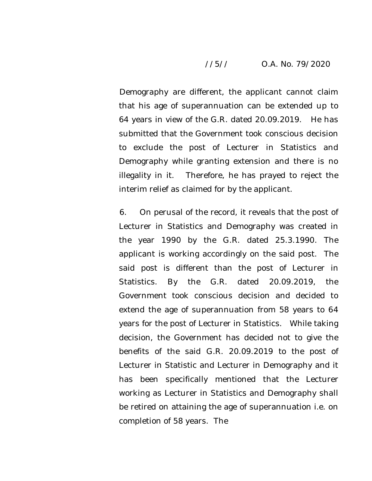## //5// O.A. No. 79/2020

Demography are different, the applicant cannot claim that his age of superannuation can be extended up to 64 years in view of the G.R. dated 20.09.2019. He has submitted that the Government took conscious decision to exclude the post of Lecturer in Statistics and Demography while granting extension and there is no illegality in it. Therefore, he has prayed to reject the interim relief as claimed for by the applicant.

6. On perusal of the record, it reveals that the post of Lecturer in Statistics and Demography was created in the year 1990 by the G.R. dated 25.3.1990. The applicant is working accordingly on the said post. The said post is different than the post of Lecturer in Statistics. By the G.R. dated 20.09.2019, the Government took conscious decision and decided to extend the age of superannuation from 58 years to 64 years for the post of Lecturer in Statistics. While taking decision, the Government has decided not to give the benefits of the said G.R. 20.09.2019 to the post of Lecturer in Statistic and Lecturer in Demography and it has been specifically mentioned that the Lecturer working as Lecturer in Statistics and Demography shall be retired on attaining the age of superannuation i.e. on completion of 58 years. The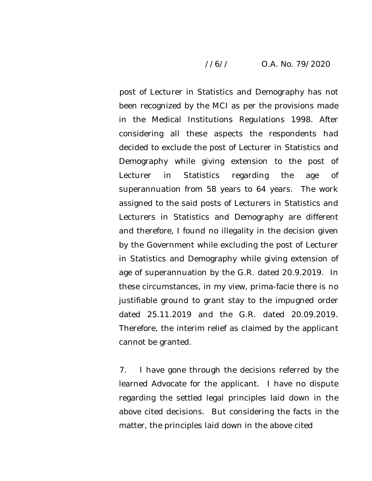## //6// O.A. No. 79/2020

post of Lecturer in Statistics and Demography has not been recognized by the MCI as per the provisions made in the Medical Institutions Regulations 1998. After considering all these aspects the respondents had decided to exclude the post of Lecturer in Statistics and Demography while giving extension to the post of Lecturer in Statistics regarding the age of superannuation from 58 years to 64 years. The work assigned to the said posts of Lecturers in Statistics and Lecturers in Statistics and Demography are different and therefore, I found no illegality in the decision given by the Government while excluding the post of Lecturer in Statistics and Demography while giving extension of age of superannuation by the G.R. dated 20.9.2019. In these circumstances, in my view, prima-facie there is no justifiable ground to grant stay to the impugned order dated 25.11.2019 and the G.R. dated 20.09.2019. Therefore, the interim relief as claimed by the applicant cannot be granted.

7. I have gone through the decisions referred by the learned Advocate for the applicant. I have no dispute regarding the settled legal principles laid down in the above cited decisions. But considering the facts in the matter, the principles laid down in the above cited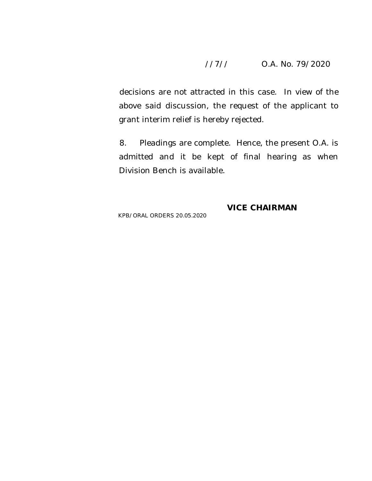## //7// O.A. No. 79/2020

decisions are not attracted in this case. In view of the above said discussion, the request of the applicant to grant interim relief is hereby rejected.

8. Pleadings are complete. Hence, the present O.A. is admitted and it be kept of final hearing as when Division Bench is available.

KPB/ORAL ORDERS 20.05.2020

**VICE CHAIRMAN**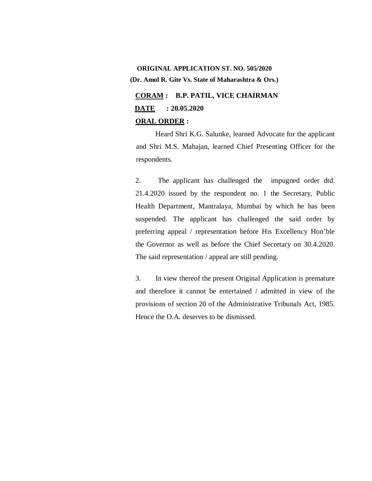# **ORIGINAL APPLICATION ST. NO. 505/2020 (Dr. Amol R. Gite Vs. State of Maharashtra & Ors.)**

**CORAM : B.P. PATIL, VICE CHAIRMAN DATE : 20.05.2020**

# **ORAL ORDER :**

Heard Shri K.G. Salunke, learned Advocate for the applicant and Shri M.S. Mahajan, learned Chief Presenting Officer for the respondents.

2. The applicant has challenged the impugned order dtd. 21.4.2020 issued by the respondent no. 1 the Secretary, Public Health Department, Mantralaya, Mumbai by which he has been suspended. The applicant has challenged the said order by preferring appeal / representation before His Excellency Hon'ble the Governor as well as before the Chief Secretary on 30.4.2020. The said representation / appeal are still pending.

3. In view thereof the present Original Application is premature and therefore it cannot be entertained / admitted in view of the provisions of section 20 of the Administrative Tribunals Act, 1985. Hence the O.A. deserves to be dismissed.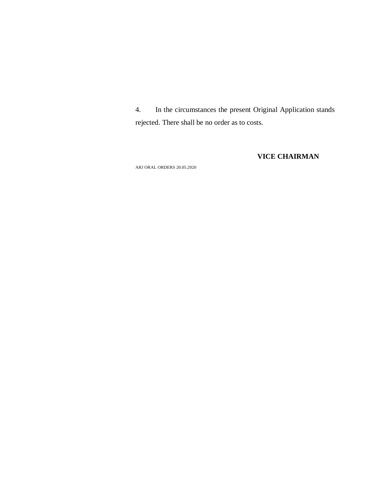4. In the circumstances the present Original Application stands rejected. There shall be no order as to costs.

### **VICE CHAIRMAN**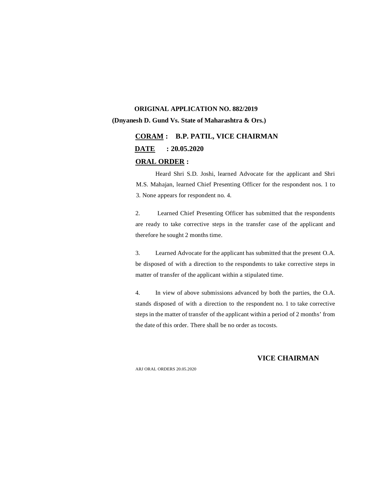## **ORIGINAL APPLICATION NO. 882/2019 (Dnyanesh D. Gund Vs. State of Maharashtra & Ors.)**

# **CORAM : B.P. PATIL, VICE CHAIRMAN DATE : 20.05.2020 ORAL ORDER :**

Heard Shri S.D. Joshi, learned Advocate for the applicant and Shri M.S. Mahajan, learned Chief Presenting Officer for the respondent nos. 1 to 3. None appears for respondent no. 4.

2. Learned Chief Presenting Officer has submitted that the respondents are ready to take corrective steps in the transfer case of the applicant and therefore he sought 2 months time.

3. Learned Advocate for the applicant has submitted that the present O.A. be disposed of with a direction to the respondents to take corrective steps in matter of transfer of the applicant within a stipulated time.

4. In view of above submissions advanced by both the parties, the O.A. stands disposed of with a direction to the respondent no. 1 to take corrective steps in the matter of transfer of the applicant within a period of 2 months' from the date of this order. There shall be no order as tocosts.

#### **VICE CHAIRMAN**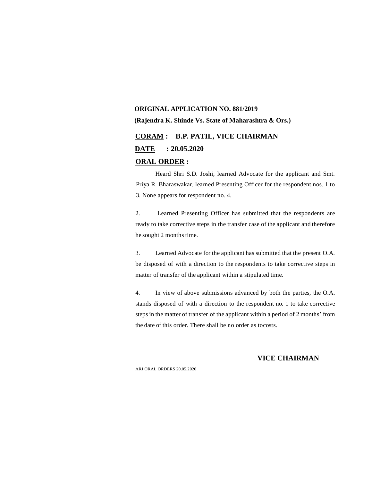# **ORIGINAL APPLICATION NO. 881/2019 (Rajendra K. Shinde Vs. State of Maharashtra & Ors.)**

# **CORAM : B.P. PATIL, VICE CHAIRMAN DATE : 20.05.2020 ORAL ORDER :**

Heard Shri S.D. Joshi, learned Advocate for the applicant and Smt. Priya R. Bharaswakar, learned Presenting Officer for the respondent nos. 1 to 3. None appears for respondent no. 4.

2. Learned Presenting Officer has submitted that the respondents are ready to take corrective steps in the transfer case of the applicant and therefore he sought 2 months time.

3. Learned Advocate for the applicant has submitted that the present O.A. be disposed of with a direction to the respondents to take corrective steps in matter of transfer of the applicant within a stipulated time.

4. In view of above submissions advanced by both the parties, the O.A. stands disposed of with a direction to the respondent no. 1 to take corrective steps in the matter of transfer of the applicant within a period of 2 months' from the date of this order. There shall be no order as tocosts.

#### **VICE CHAIRMAN**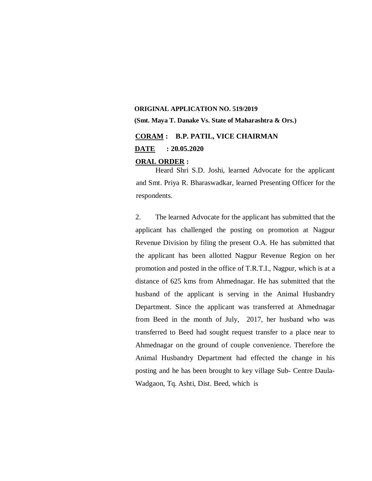## **ORIGINAL APPLICATION NO. 519/2019 (Smt. Maya T. Danake Vs. State of Maharashtra & Ors.)**

# **CORAM : B.P. PATIL, VICE CHAIRMAN**

**DATE : 20.05.2020**

#### **ORAL ORDER :**

Heard Shri S.D. Joshi, learned Advocate for the applicant and Smt. Priya R. Bharaswadkar, learned Presenting Officer for the respondents.

2. The learned Advocate for the applicant has submitted that the applicant has challenged the posting on promotion at Nagpur Revenue Division by filing the present O.A. He has submitted that the applicant has been allotted Nagpur Revenue Region on her promotion and posted in the office of T.R.T.I., Nagpur, which is at a distance of 625 kms from Ahmednagar. He has submitted that the husband of the applicant is serving in the Animal Husbandry Department. Since the applicant was transferred at Ahmednagar from Beed in the month of July, 2017, her husband who was transferred to Beed had sought request transfer to a place near to Ahmednagar on the ground of couple convenience. Therefore the Animal Husbandry Department had effected the change in his posting and he has been brought to key village Sub- Centre Daula-Wadgaon, Tq. Ashti, Dist. Beed, which is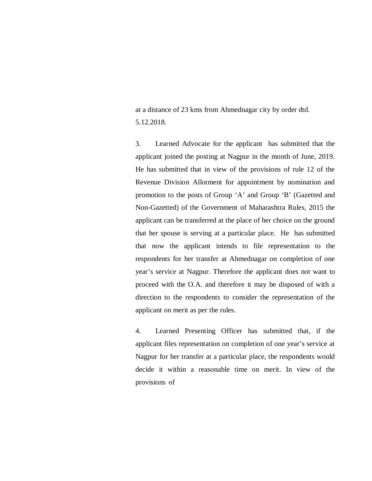at a distance of 23 kms from Ahmednagar city by order dtd. 5.12.2018.

3. Learned Advocate for the applicant has submitted that the applicant joined the posting at Nagpur in the month of June, 2019. He has submitted that in view of the provisions of rule 12 of the Revenue Division Allotment for appointment by nomination and promotion to the posts of Group 'A' and Group 'B' (Gazetted and Non-Gazetted) of the Government of Maharashtra Rules, 2015 the applicant can be transferred at the place of her choice on the ground that her spouse is serving at a particular place. He has submitted that now the applicant intends to file representation to the respondents for her transfer at Ahmednagar on completion of one year's service at Nagpur. Therefore the applicant does not want to proceed with the O.A. and therefore it may be disposed of with a direction to the respondents to consider the representation of the applicant on merit as per the rules.

4. Learned Presenting Officer has submitted that, if the applicant files representation on completion of one year's service at Nagpur for her transfer at a particular place, the respondents would decide it within a reasonable time on merit. In view of the provisions of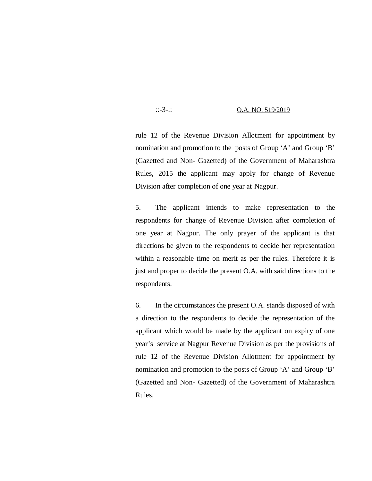#### ::-3-:: O.A. NO. 519/2019

rule 12 of the Revenue Division Allotment for appointment by nomination and promotion to the posts of Group 'A' and Group 'B' (Gazetted and Non- Gazetted) of the Government of Maharashtra Rules, 2015 the applicant may apply for change of Revenue Division after completion of one year at Nagpur.

5. The applicant intends to make representation to the respondents for change of Revenue Division after completion of one year at Nagpur. The only prayer of the applicant is that directions be given to the respondents to decide her representation within a reasonable time on merit as per the rules. Therefore it is just and proper to decide the present O.A. with said directions to the respondents.

6. In the circumstances the present O.A. stands disposed of with a direction to the respondents to decide the representation of the applicant which would be made by the applicant on expiry of one year's service at Nagpur Revenue Division as per the provisions of rule 12 of the Revenue Division Allotment for appointment by nomination and promotion to the posts of Group 'A' and Group 'B' (Gazetted and Non- Gazetted) of the Government of Maharashtra Rules,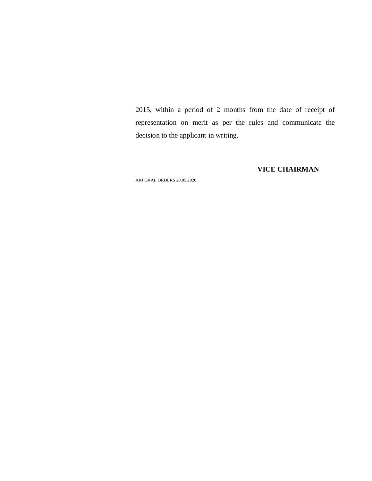2015, within a period of 2 months from the date of receipt of representation on merit as per the rules and communicate the decision to the applicant in writing.

**VICE CHAIRMAN**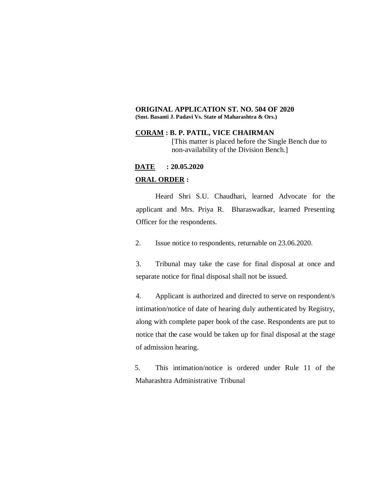#### **ORIGINAL APPLICATION ST. NO. 504 OF 2020 (Smt. Basanti J. Padavi Vs. State of Maharashtra & Ors.)**

#### **CORAM : B. P. PATIL, VICE CHAIRMAN**

[This matter is placed before the Single Bench due to non-availability of the Division Bench.]

#### **DATE : 20.05.2020**

#### **ORAL ORDER :**

Heard Shri S.U. Chaudhari, learned Advocate for the applicant and Mrs. Priya R. Bharaswadkar, learned Presenting Officer for the respondents.

2. Issue notice to respondents, returnable on 23.06.2020.

3. Tribunal may take the case for final disposal at once and separate notice for final disposal shall not be issued.

4. Applicant is authorized and directed to serve on respondent/s intimation/notice of date of hearing duly authenticated by Registry, along with complete paper book of the case. Respondents are put to notice that the case would be taken up for final disposal at the stage of admission hearing.

5. This intimation/notice is ordered under Rule 11 of the Maharashtra Administrative Tribunal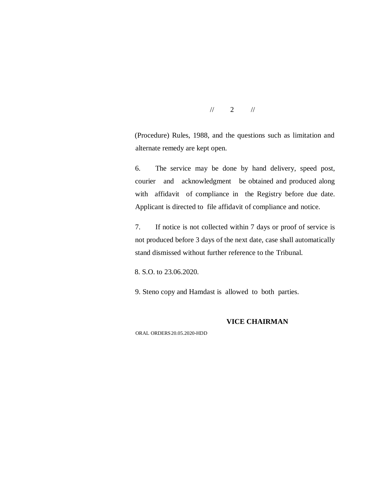$\frac{1}{2}$  //

(Procedure) Rules, 1988, and the questions such as limitation and alternate remedy are kept open.

6. The service may be done by hand delivery, speed post, courier and acknowledgment be obtained and produced along with affidavit of compliance in the Registry before due date. Applicant is directed to file affidavit of compliance and notice.

7. If notice is not collected within 7 days or proof of service is not produced before 3 days of the next date, case shall automatically stand dismissed without further reference to the Tribunal.

8. S.O. to 23.06.2020.

9. Steno copy and Hamdast is allowed to both parties.

#### **VICE CHAIRMAN**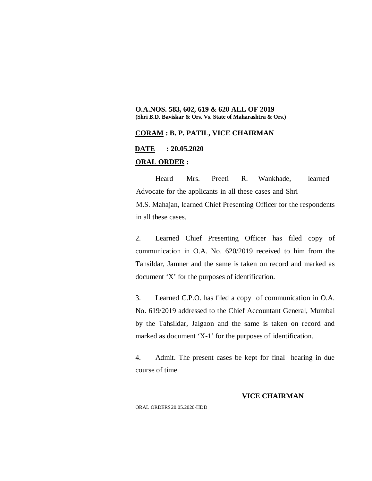#### **O.A.NOS. 583, 602, 619 & 620 ALL OF 2019 (Shri B.D. Baviskar & Ors. Vs. State of Maharashtra & Ors.)**

#### **CORAM : B. P. PATIL, VICE CHAIRMAN**

**DATE : 20.05.2020**

#### **ORAL ORDER :**

Heard Mrs. Preeti R. Wankhade, learned Advocate for the applicants in all these cases and Shri M.S. Mahajan, learned Chief Presenting Officer for the respondents in all these cases.

2. Learned Chief Presenting Officer has filed copy of communication in O.A. No. 620/2019 received to him from the Tahsildar, Jamner and the same is taken on record and marked as document 'X' for the purposes of identification.

3. Learned C.P.O. has filed a copy of communication in O.A. No. 619/2019 addressed to the Chief Accountant General, Mumbai by the Tahsildar, Jalgaon and the same is taken on record and marked as document 'X-1' for the purposes of identification.

4. Admit. The present cases be kept for final hearing in due course of time.

#### **VICE CHAIRMAN**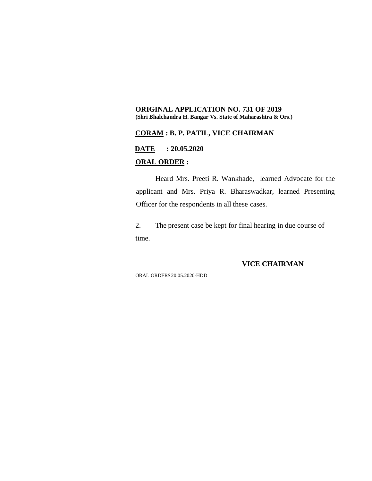#### **ORIGINAL APPLICATION NO. 731 OF 2019 (Shri Bhalchandra H. Bangar Vs. State of Maharashtra & Ors.)**

#### **CORAM : B. P. PATIL, VICE CHAIRMAN**

**DATE : 20.05.2020**

#### **ORAL ORDER :**

Heard Mrs. Preeti R. Wankhade, learned Advocate for the applicant and Mrs. Priya R. Bharaswadkar, learned Presenting Officer for the respondents in all these cases.

2. The present case be kept for final hearing in due course of time.

#### **VICE CHAIRMAN**